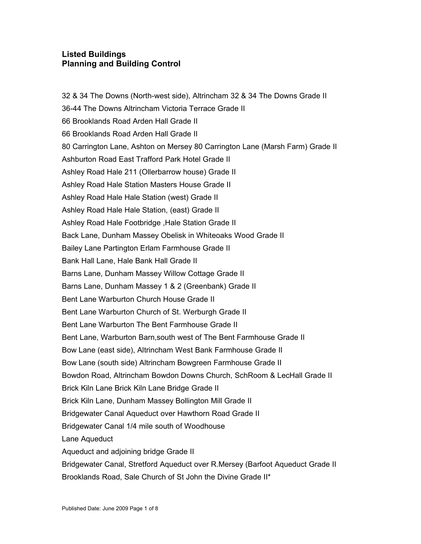## **Listed Buildings Planning and Building Control**

32 & 34 The Downs (North-west side), Altrincham 32 & 34 The Downs Grade II 36-44 The Downs Altrincham Victoria Terrace Grade II 66 Brooklands Road Arden Hall Grade II 66 Brooklands Road Arden Hall Grade II 80 Carrington Lane, Ashton on Mersey 80 Carrington Lane (Marsh Farm) Grade II Ashburton Road East Trafford Park Hotel Grade II Ashley Road Hale 211 (Ollerbarrow house) Grade II Ashley Road Hale Station Masters House Grade II Ashley Road Hale Hale Station (west) Grade II Ashley Road Hale Hale Station, (east) Grade II Ashley Road Hale Footbridge ,Hale Station Grade II Back Lane, Dunham Massey Obelisk in Whiteoaks Wood Grade II Bailey Lane Partington Erlam Farmhouse Grade II Bank Hall Lane, Hale Bank Hall Grade II Barns Lane, Dunham Massey Willow Cottage Grade II Barns Lane, Dunham Massey 1 & 2 (Greenbank) Grade II Bent Lane Warburton Church House Grade II Bent Lane Warburton Church of St. Werburgh Grade II Bent Lane Warburton The Bent Farmhouse Grade II Bent Lane, Warburton Barn,south west of The Bent Farmhouse Grade II Bow Lane (east side), Altrincham West Bank Farmhouse Grade II Bow Lane (south side) Altrincham Bowgreen Farmhouse Grade II Bowdon Road, Altrincham Bowdon Downs Church, SchRoom & LecHall Grade II Brick Kiln Lane Brick Kiln Lane Bridge Grade II Brick Kiln Lane, Dunham Massey Bollington Mill Grade II Bridgewater Canal Aqueduct over Hawthorn Road Grade II Bridgewater Canal 1/4 mile south of Woodhouse Lane Aqueduct Aqueduct and adjoining bridge Grade II Bridgewater Canal, Stretford Aqueduct over R.Mersey (Barfoot Aqueduct Grade II Brooklands Road, Sale Church of St John the Divine Grade II\*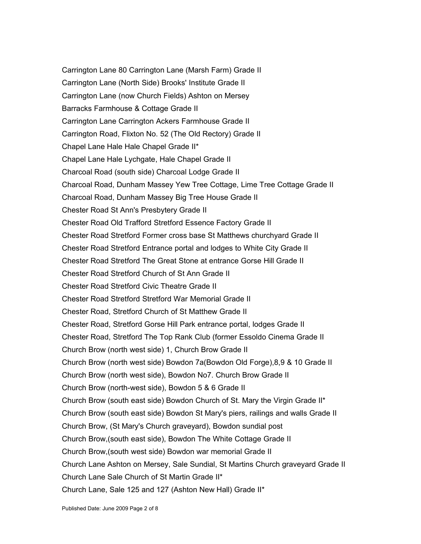Carrington Lane 80 Carrington Lane (Marsh Farm) Grade II Carrington Lane (North Side) Brooks' Institute Grade II Carrington Lane (now Church Fields) Ashton on Mersey Barracks Farmhouse & Cottage Grade II Carrington Lane Carrington Ackers Farmhouse Grade II Carrington Road, Flixton No. 52 (The Old Rectory) Grade II Chapel Lane Hale Hale Chapel Grade II\* Chapel Lane Hale Lychgate, Hale Chapel Grade II Charcoal Road (south side) Charcoal Lodge Grade II Charcoal Road, Dunham Massey Yew Tree Cottage, Lime Tree Cottage Grade II Charcoal Road, Dunham Massey Big Tree House Grade II Chester Road St Ann's Presbytery Grade II Chester Road Old Trafford Stretford Essence Factory Grade II Chester Road Stretford Former cross base St Matthews churchyard Grade II Chester Road Stretford Entrance portal and lodges to White City Grade II Chester Road Stretford The Great Stone at entrance Gorse Hill Grade II Chester Road Stretford Church of St Ann Grade II Chester Road Stretford Civic Theatre Grade II Chester Road Stretford Stretford War Memorial Grade II Chester Road, Stretford Church of St Matthew Grade II Chester Road, Stretford Gorse Hill Park entrance portal, lodges Grade II Chester Road, Stretford The Top Rank Club (former Essoldo Cinema Grade II Church Brow (north west side) 1, Church Brow Grade II Church Brow (north west side) Bowdon 7a(Bowdon Old Forge),8,9 & 10 Grade II Church Brow (north west side), Bowdon No7. Church Brow Grade II Church Brow (north-west side), Bowdon 5 & 6 Grade II Church Brow (south east side) Bowdon Church of St. Mary the Virgin Grade II\* Church Brow (south east side) Bowdon St Mary's piers, railings and walls Grade II Church Brow, (St Mary's Church graveyard), Bowdon sundial post Church Brow,(south east side), Bowdon The White Cottage Grade II Church Brow,(south west side) Bowdon war memorial Grade II Church Lane Ashton on Mersey, Sale Sundial, St Martins Church graveyard Grade II Church Lane Sale Church of St Martin Grade II\* Church Lane, Sale 125 and 127 (Ashton New Hall) Grade II\*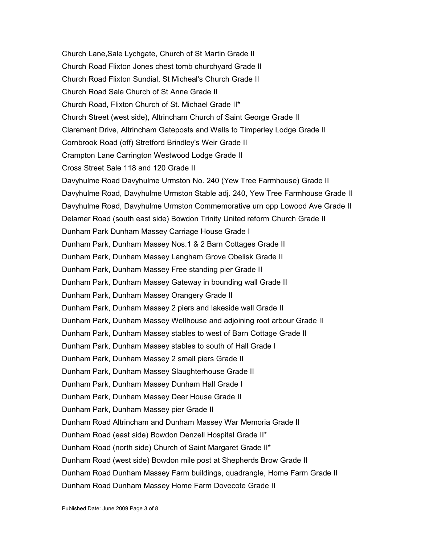Church Lane,Sale Lychgate, Church of St Martin Grade II Church Road Flixton Jones chest tomb churchyard Grade II Church Road Flixton Sundial, St Micheal's Church Grade II Church Road Sale Church of St Anne Grade II Church Road, Flixton Church of St. Michael Grade II\* Church Street (west side), Altrincham Church of Saint George Grade II Clarement Drive, Altrincham Gateposts and Walls to Timperley Lodge Grade II Cornbrook Road (off) Stretford Brindley's Weir Grade II Crampton Lane Carrington Westwood Lodge Grade II Cross Street Sale 118 and 120 Grade II Davyhulme Road Davyhulme Urmston No. 240 (Yew Tree Farmhouse) Grade II Davyhulme Road, Davyhulme Urmston Stable adj. 240, Yew Tree Farmhouse Grade II Davyhulme Road, Davyhulme Urmston Commemorative urn opp Lowood Ave Grade II Delamer Road (south east side) Bowdon Trinity United reform Church Grade II Dunham Park Dunham Massey Carriage House Grade I Dunham Park, Dunham Massey Nos.1 & 2 Barn Cottages Grade II Dunham Park, Dunham Massey Langham Grove Obelisk Grade II Dunham Park, Dunham Massey Free standing pier Grade II Dunham Park, Dunham Massey Gateway in bounding wall Grade II Dunham Park, Dunham Massey Orangery Grade II Dunham Park, Dunham Massey 2 piers and lakeside wall Grade II Dunham Park, Dunham Massey Wellhouse and adjoining root arbour Grade II Dunham Park, Dunham Massey stables to west of Barn Cottage Grade II Dunham Park, Dunham Massey stables to south of Hall Grade I Dunham Park, Dunham Massey 2 small piers Grade II Dunham Park, Dunham Massey Slaughterhouse Grade II Dunham Park, Dunham Massey Dunham Hall Grade I Dunham Park, Dunham Massey Deer House Grade II Dunham Park, Dunham Massey pier Grade II Dunham Road Altrincham and Dunham Massey War Memoria Grade II Dunham Road (east side) Bowdon Denzell Hospital Grade II\* Dunham Road (north side) Church of Saint Margaret Grade II\* Dunham Road (west side) Bowdon mile post at Shepherds Brow Grade II Dunham Road Dunham Massey Farm buildings, quadrangle, Home Farm Grade II Dunham Road Dunham Massey Home Farm Dovecote Grade II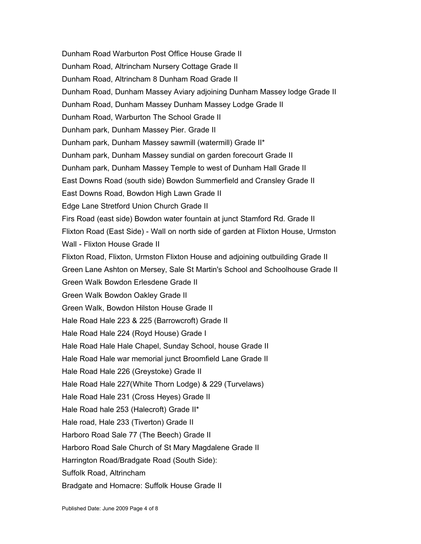Dunham Road Warburton Post Office House Grade II Dunham Road, Altrincham Nursery Cottage Grade II Dunham Road, Altrincham 8 Dunham Road Grade II Dunham Road, Dunham Massey Aviary adjoining Dunham Massey lodge Grade II Dunham Road, Dunham Massey Dunham Massey Lodge Grade II Dunham Road, Warburton The School Grade II Dunham park, Dunham Massey Pier. Grade II Dunham park, Dunham Massey sawmill (watermill) Grade II\* Dunham park, Dunham Massey sundial on garden forecourt Grade II Dunham park, Dunham Massey Temple to west of Dunham Hall Grade II East Downs Road (south side) Bowdon Summerfield and Cransley Grade II East Downs Road, Bowdon High Lawn Grade II Edge Lane Stretford Union Church Grade II Firs Road (east side) Bowdon water fountain at junct Stamford Rd. Grade II Flixton Road (East Side) - Wall on north side of garden at Flixton House, Urmston Wall - Flixton House Grade II Flixton Road, Flixton, Urmston Flixton House and adjoining outbuilding Grade II Green Lane Ashton on Mersey, Sale St Martin's School and Schoolhouse Grade II Green Walk Bowdon Erlesdene Grade II Green Walk Bowdon Oakley Grade II Green Walk, Bowdon Hilston House Grade II Hale Road Hale 223 & 225 (Barrowcroft) Grade II Hale Road Hale 224 (Royd House) Grade I Hale Road Hale Hale Chapel, Sunday School, house Grade II Hale Road Hale war memorial junct Broomfield Lane Grade II Hale Road Hale 226 (Greystoke) Grade II Hale Road Hale 227(White Thorn Lodge) & 229 (Turvelaws) Hale Road Hale 231 (Cross Heyes) Grade II Hale Road hale 253 (Halecroft) Grade II\* Hale road, Hale 233 (Tiverton) Grade II Harboro Road Sale 77 (The Beech) Grade II Harboro Road Sale Church of St Mary Magdalene Grade II Harrington Road/Bradgate Road (South Side): Suffolk Road, Altrincham Bradgate and Homacre: Suffolk House Grade II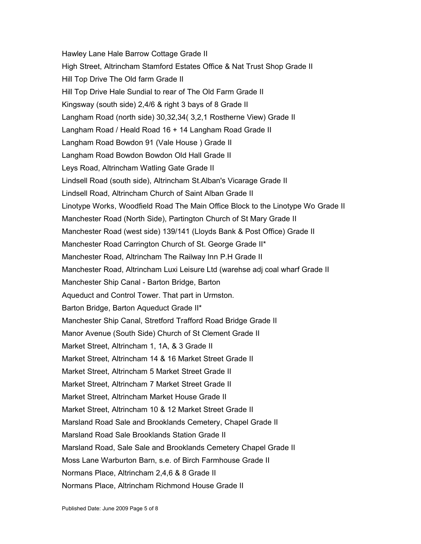Hawley Lane Hale Barrow Cottage Grade II High Street, Altrincham Stamford Estates Office & Nat Trust Shop Grade II Hill Top Drive The Old farm Grade II Hill Top Drive Hale Sundial to rear of The Old Farm Grade II Kingsway (south side) 2,4/6 & right 3 bays of 8 Grade II Langham Road (north side) 30,32,34( 3,2,1 Rostherne View) Grade II Langham Road / Heald Road 16 + 14 Langham Road Grade II Langham Road Bowdon 91 (Vale House ) Grade II Langham Road Bowdon Bowdon Old Hall Grade II Leys Road, Altrincham Watling Gate Grade II Lindsell Road (south side), Altrincham St.Alban's Vicarage Grade II Lindsell Road, Altrincham Church of Saint Alban Grade II Linotype Works, Woodfield Road The Main Office Block to the Linotype Wo Grade II Manchester Road (North Side), Partington Church of St Mary Grade II Manchester Road (west side) 139/141 (Lloyds Bank & Post Office) Grade II Manchester Road Carrington Church of St. George Grade II\* Manchester Road, Altrincham The Railway Inn P.H Grade II Manchester Road, Altrincham Luxi Leisure Ltd (warehse adj coal wharf Grade II Manchester Ship Canal - Barton Bridge, Barton Aqueduct and Control Tower. That part in Urmston. Barton Bridge, Barton Aqueduct Grade II\* Manchester Ship Canal, Stretford Trafford Road Bridge Grade II Manor Avenue (South Side) Church of St Clement Grade II Market Street, Altrincham 1, 1A, & 3 Grade II Market Street, Altrincham 14 & 16 Market Street Grade II Market Street, Altrincham 5 Market Street Grade II Market Street, Altrincham 7 Market Street Grade II Market Street, Altrincham Market House Grade II Market Street, Altrincham 10 & 12 Market Street Grade II Marsland Road Sale and Brooklands Cemetery, Chapel Grade II Marsland Road Sale Brooklands Station Grade II Marsland Road, Sale Sale and Brooklands Cemetery Chapel Grade II Moss Lane Warburton Barn, s.e. of Birch Farmhouse Grade II Normans Place, Altrincham 2,4,6 & 8 Grade II Normans Place, Altrincham Richmond House Grade II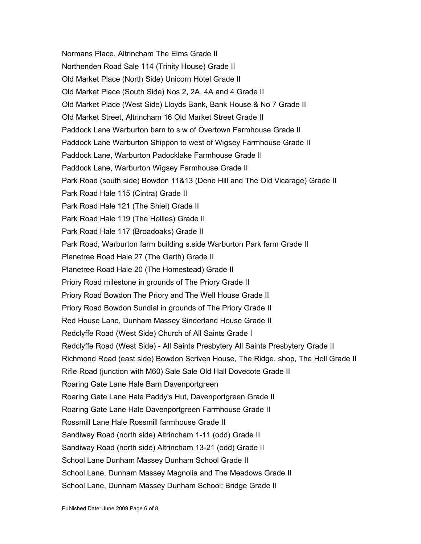Normans Place, Altrincham The Elms Grade II Northenden Road Sale 114 (Trinity House) Grade II Old Market Place (North Side) Unicorn Hotel Grade II Old Market Place (South Side) Nos 2, 2A, 4A and 4 Grade II Old Market Place (West Side) Lloyds Bank, Bank House & No 7 Grade II Old Market Street, Altrincham 16 Old Market Street Grade II Paddock Lane Warburton barn to s.w of Overtown Farmhouse Grade II Paddock Lane Warburton Shippon to west of Wigsey Farmhouse Grade II Paddock Lane, Warburton Padocklake Farmhouse Grade II Paddock Lane, Warburton Wigsey Farmhouse Grade II Park Road (south side) Bowdon 11&13 (Dene Hill and The Old Vicarage) Grade II Park Road Hale 115 (Cintra) Grade II Park Road Hale 121 (The Shiel) Grade II Park Road Hale 119 (The Hollies) Grade II Park Road Hale 117 (Broadoaks) Grade II Park Road, Warburton farm building s.side Warburton Park farm Grade II Planetree Road Hale 27 (The Garth) Grade II Planetree Road Hale 20 (The Homestead) Grade II Priory Road milestone in grounds of The Priory Grade II Priory Road Bowdon The Priory and The Well House Grade II Priory Road Bowdon Sundial in grounds of The Priory Grade II Red House Lane, Dunham Massey Sinderland House Grade II Redclyffe Road (West Side) Church of All Saints Grade I Redclyffe Road (West Side) - All Saints Presbytery All Saints Presbytery Grade II Richmond Road (east side) Bowdon Scriven House, The Ridge, shop, The Holl Grade II Rifle Road (junction with M60) Sale Sale Old Hall Dovecote Grade II Roaring Gate Lane Hale Barn Davenportgreen Roaring Gate Lane Hale Paddy's Hut, Davenportgreen Grade II Roaring Gate Lane Hale Davenportgreen Farmhouse Grade II Rossmill Lane Hale Rossmill farmhouse Grade II Sandiway Road (north side) Altrincham 1-11 (odd) Grade II Sandiway Road (north side) Altrincham 13-21 (odd) Grade II School Lane Dunham Massey Dunham School Grade II School Lane, Dunham Massey Magnolia and The Meadows Grade II School Lane, Dunham Massey Dunham School; Bridge Grade II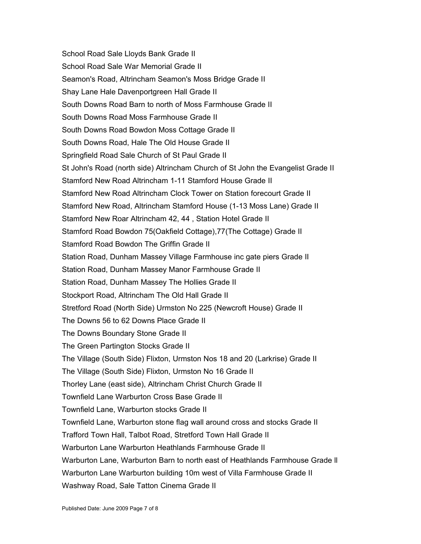School Road Sale Lloyds Bank Grade II School Road Sale War Memorial Grade II Seamon's Road, Altrincham Seamon's Moss Bridge Grade II Shay Lane Hale Davenportgreen Hall Grade II South Downs Road Barn to north of Moss Farmhouse Grade II South Downs Road Moss Farmhouse Grade II South Downs Road Bowdon Moss Cottage Grade II South Downs Road, Hale The Old House Grade II Springfield Road Sale Church of St Paul Grade II St John's Road (north side) Altrincham Church of St John the Evangelist Grade II Stamford New Road Altrincham 1-11 Stamford House Grade II Stamford New Road Altrincham Clock Tower on Station forecourt Grade II Stamford New Road, Altrincham Stamford House (1-13 Moss Lane) Grade II Stamford New Roar Altrincham 42, 44 , Station Hotel Grade II Stamford Road Bowdon 75(Oakfield Cottage),77(The Cottage) Grade II Stamford Road Bowdon The Griffin Grade II Station Road, Dunham Massey Village Farmhouse inc gate piers Grade II Station Road, Dunham Massey Manor Farmhouse Grade II Station Road, Dunham Massey The Hollies Grade II Stockport Road, Altrincham The Old Hall Grade II Stretford Road (North Side) Urmston No 225 (Newcroft House) Grade II The Downs 56 to 62 Downs Place Grade II The Downs Boundary Stone Grade II The Green Partington Stocks Grade II The Village (South Side) Flixton, Urmston Nos 18 and 20 (Larkrise) Grade II The Village (South Side) Flixton, Urmston No 16 Grade II Thorley Lane (east side), Altrincham Christ Church Grade II Townfield Lane Warburton Cross Base Grade II Townfield Lane, Warburton stocks Grade II Townfield Lane, Warburton stone flag wall around cross and stocks Grade II Trafford Town Hall, Talbot Road, Stretford Town Hall Grade II Warburton Lane Warburton Heathlands Farmhouse Grade II Warburton Lane, Warburton Barn to north east of Heathlands Farmhouse Grade ll Warburton Lane Warburton building 10m west of Villa Farmhouse Grade II Washway Road, Sale Tatton Cinema Grade II